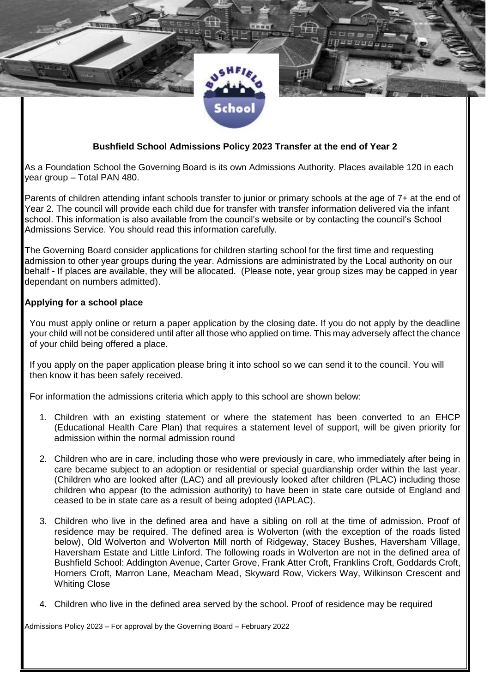

## **Bushfield School Admissions Policy 2023 Transfer at the end of Year 2**

As a Foundation School the Governing Board is its own Admissions Authority. Places available 120 in each year group – Total PAN 480.

Parents of children attending infant schools transfer to junior or primary schools at the age of 7+ at the end of Year 2. The council will provide each child due for transfer with transfer information delivered via the infant school. This information is also available from the council's website or by contacting the council's School Admissions Service. You should read this information carefully.

The Governing Board consider applications for children starting school for the first time and requesting admission to other year groups during the year. Admissions are administrated by the Local authority on our behalf - If places are available, they will be allocated. (Please note, year group sizes may be capped in year dependant on numbers admitted).

#### **Applying for a school place**

You must apply online or return a paper application by the closing date. If you do not apply by the deadline your child will not be considered until after all those who applied on time. This may adversely affect the chance of your child being offered a place.

If you apply on the paper application please bring it into school so we can send it to the council. You will then know it has been safely received.

For information the admissions criteria which apply to this school are shown below:

- 1. Children with an existing statement or where the statement has been converted to an EHCP (Educational Health Care Plan) that requires a statement level of support, will be given priority for admission within the normal admission round
- 2. Children who are in care, including those who were previously in care, who immediately after being in care became subject to an adoption or residential or special guardianship order within the last year. (Children who are looked after (LAC) and all previously looked after children (PLAC) including those children who appear (to the admission authority) to have been in state care outside of England and ceased to be in state care as a result of being adopted (IAPLAC).
- 3. Children who live in the defined area and have a sibling on roll at the time of admission. Proof of residence may be required. The defined area is Wolverton (with the exception of the roads listed below), Old Wolverton and Wolverton Mill north of Ridgeway, Stacey Bushes, Haversham Village, Haversham Estate and Little Linford. The following roads in Wolverton are not in the defined area of Bushfield School: Addington Avenue, Carter Grove, Frank Atter Croft, Franklins Croft, Goddards Croft, Horners Croft, Marron Lane, Meacham Mead, Skyward Row, Vickers Way, Wilkinson Crescent and Whiting Close
- 4. Children who live in the defined area served by the school. Proof of residence may be required

Admissions Policy 2023 – For approval by the Governing Board – February 2022